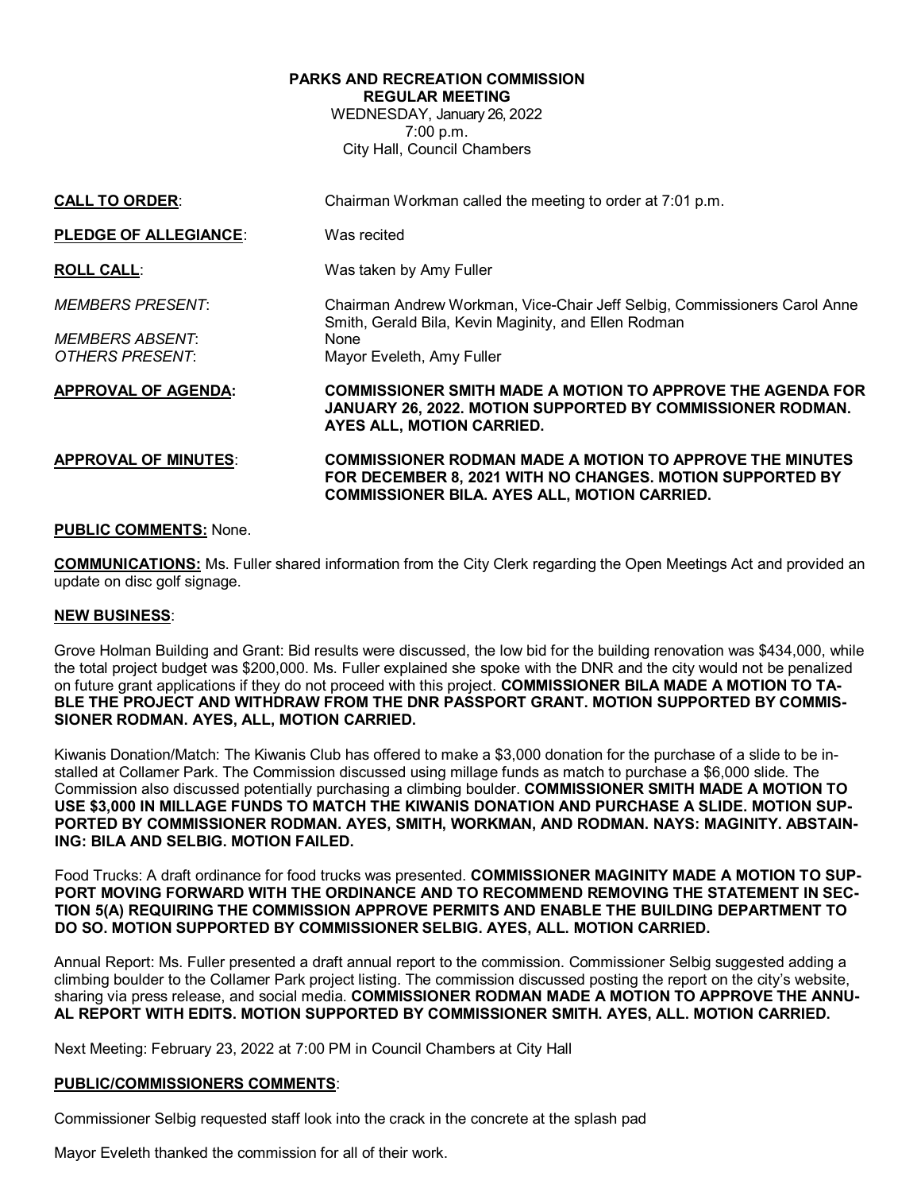# **PARKS AND RECREATION COMMISSION REGULAR MEETING**

WEDNESDAY, January 26, 2022 7:00 p.m. City Hall, Council Chambers

| <b>CALL TO ORDER:</b>        | Chairman Workman called the meeting to order at 7:01 p.m.                                                                                                                           |
|------------------------------|-------------------------------------------------------------------------------------------------------------------------------------------------------------------------------------|
| <b>PLEDGE OF ALLEGIANCE:</b> | Was recited                                                                                                                                                                         |
| <b>ROLL CALL:</b>            | Was taken by Amy Fuller                                                                                                                                                             |
| <b>MEMBERS PRESENT:</b>      | Chairman Andrew Workman, Vice-Chair Jeff Selbig, Commissioners Carol Anne<br>Smith, Gerald Bila, Kevin Maginity, and Ellen Rodman                                                   |
| <b>MEMBERS ABSENT:</b>       | None                                                                                                                                                                                |
| OTHERS PRESENT:              | Mayor Eveleth, Amy Fuller                                                                                                                                                           |
|                              |                                                                                                                                                                                     |
| <b>APPROVAL OF AGENDA:</b>   | COMMISSIONER SMITH MADE A MOTION TO APPROVE THE AGENDA FOR<br><b>JANUARY 26, 2022. MOTION SUPPORTED BY COMMISSIONER RODMAN.</b><br>AYES ALL, MOTION CARRIED.                        |
| <b>APPROVAL OF MINUTES:</b>  | <b>COMMISSIONER RODMAN MADE A MOTION TO APPROVE THE MINUTES</b><br>FOR DECEMBER 8, 2021 WITH NO CHANGES. MOTION SUPPORTED BY<br><b>COMMISSIONER BILA. AYES ALL, MOTION CARRIED.</b> |

## **PUBLIC COMMENTS:** None.

**COMMUNICATIONS:** Ms. Fuller shared information from the City Clerk regarding the Open Meetings Act and provided an update on disc golf signage.

### **NEW BUSINESS**:

Grove Holman Building and Grant: Bid results were discussed, the low bid for the building renovation was \$434,000, while the total project budget was \$200,000. Ms. Fuller explained she spoke with the DNR and the city would not be penalized on future grant applications if they do not proceed with this project. **COMMISSIONER BILA MADE A MOTION TO TA-BLE THE PROJECT AND WITHDRAW FROM THE DNR PASSPORT GRANT. MOTION SUPPORTED BY COMMIS-SIONER RODMAN. AYES, ALL, MOTION CARRIED.**

Kiwanis Donation/Match: The Kiwanis Club has offered to make a \$3,000 donation for the purchase of a slide to be installed at Collamer Park. The Commission discussed using millage funds as match to purchase a \$6,000 slide. The Commission also discussed potentially purchasing a climbing boulder. **COMMISSIONER SMITH MADE A MOTION TO USE \$3,000 IN MILLAGE FUNDS TO MATCH THE KIWANIS DONATION AND PURCHASE A SLIDE. MOTION SUP-PORTED BY COMMISSIONER RODMAN. AYES, SMITH, WORKMAN, AND RODMAN. NAYS: MAGINITY. ABSTAIN-ING: BILA AND SELBIG. MOTION FAILED.**

Food Trucks: A draft ordinance for food trucks was presented. **COMMISSIONER MAGINITY MADE A MOTION TO SUP-PORT MOVING FORWARD WITH THE ORDINANCE AND TO RECOMMEND REMOVING THE STATEMENT IN SEC-TION 5(A) REQUIRING THE COMMISSION APPROVE PERMITS AND ENABLE THE BUILDING DEPARTMENT TO DO SO. MOTION SUPPORTED BY COMMISSIONER SELBIG. AYES, ALL. MOTION CARRIED.**

Annual Report: Ms. Fuller presented a draft annual report to the commission. Commissioner Selbig suggested adding a climbing boulder to the Collamer Park project listing. The commission discussed posting the report on the city's website, sharing via press release, and social media. **COMMISSIONER RODMAN MADE A MOTION TO APPROVE THE ANNU-AL REPORT WITH EDITS. MOTION SUPPORTED BY COMMISSIONER SMITH. AYES, ALL. MOTION CARRIED.**

Next Meeting: February 23, 2022 at 7:00 PM in Council Chambers at City Hall

### **PUBLIC/COMMISSIONERS COMMENTS**:

Commissioner Selbig requested staff look into the crack in the concrete at the splash pad

Mayor Eveleth thanked the commission for all of their work.